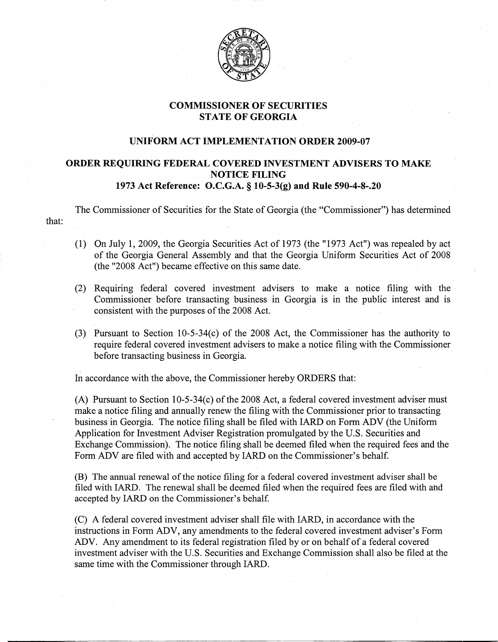

## COMMISSIONER OF SECURITIES **STATE OF GEORGIA**

## UNIFORM ACT IMPLEMENTATION ORDER 2009-07

## ORDER REQUIRING FEDERAL COVERED INVESTMENT ADVISERS TO MAKE NOTICE FILING 1973 Act Reference: O.C.G.A. § 10-5-3(g) and Rule 590-4-8-.20

The Commissioner of Securities for the State of Georgia (the "Commissioner") has determined that:

- (1) On July 1, 2009, the Georgia Securities Act of 1973 (the "1973 Act") was repealed by act of the Georgia General Assenlbly and that the Georgia Uniform Securities Act of 2008 (the "2008 Act") became effective on this same date.
- (2) Requiring federal covered investment advisers to make a notice filing with the Commissioner before transacting business in Georgia is in the public interest and is consistent with the purposes of the 2008 Act.
- (3) Pursuant to Section 10-5-34(c) of the 2008 Act, the Commissioner has the authority to require federal covered investment advisers to make a notice filing with the Commissioner before transacting business in Georgia.

In accordance with the above, the Commissioner hereby ORDERS that:

(A) Pursuant to Section 10-5-34(c) of the 2008 Act, a federal covered investment adviser must make a notice filing and annually renew the filing with the Commissioner prior to transacting business in Georgia. The notice filing shall be filed with IARD on Form ADV (the Uniform Application for Investment Adviser Registration promulgated by the U.S. Securities and Exchange Commission). The notice filing shall be deemed filed when the required fees and the Form ADV are filed with and accepted by lARD on the Commissioner's behalf.

(B) The annual renewal of the notice filing for a federal covered investment adviser shall be filed with lARD. The renewal shall be deemed filed when the required fees are filed with and accepted by lARD on the Commissioner's behalf.

(C) A federal covered investment adviser shall file with lARD, in accordance with the instructions in Form ADV, any amendments to the federal covered investment adviser's Form ADV. Any amendment to its federal registration filed by or on behalf of a federal covered investment adviser with the U.S. Securities and Exchange Commission shall also be filed at the same time with the Commissioner through IARD.